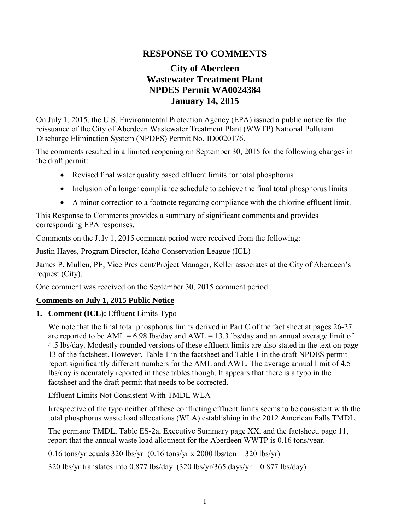## **RESPONSE TO COMMENTS**

# **City of Aberdeen Wastewater Treatment Plant NPDES Permit WA0024384 January 14, 2015**

On July 1, 2015, the U.S. Environmental Protection Agency (EPA) issued a public notice for the reissuance of the City of Aberdeen Wastewater Treatment Plant (WWTP) National Pollutant Discharge Elimination System (NPDES) Permit No. ID0020176.

The comments resulted in a limited reopening on September 30, 2015 for the following changes in the draft permit:

- Revised final water quality based effluent limits for total phosphorus
- Inclusion of a longer compliance schedule to achieve the final total phosphorus limits
- A minor correction to a footnote regarding compliance with the chlorine effluent limit.

This Response to Comments provides a summary of significant comments and provides corresponding EPA responses.

Comments on the July 1, 2015 comment period were received from the following:

Justin Hayes, Program Director, Idaho Conservation League (ICL)

James P. Mullen, PE, Vice President/Project Manager, Keller associates at the City of Aberdeen's request (City).

One comment was received on the September 30, 2015 comment period.

### **Comments on July 1, 2015 Public Notice**

**1. Comment (ICL):** Effluent Limits Typo

We note that the final total phosphorus limits derived in Part C of the fact sheet at pages 26-27 are reported to be  $AML = 6.98$  lbs/day and  $AWL = 13.3$  lbs/day and an annual average limit of 4.5 lbs/day. Modestly rounded versions of these effluent limits are also stated in the text on page 13 of the factsheet. However, Table 1 in the factsheet and Table 1 in the draft NPDES permit report significantly different numbers for the AML and AWL. The average annual limit of 4.5 lbs/day is accurately reported in these tables though. It appears that there is a typo in the factsheet and the draft permit that needs to be corrected.

Effluent Limits Not Consistent With TMDL WLA

Irrespective of the typo neither of these conflicting effluent limits seems to be consistent with the total phosphorus waste load allocations (WLA) establishing in the 2012 American Falls TMDL.

The germane TMDL, Table ES-2a, Executive Summary page XX, and the factsheet, page 11, report that the annual waste load allotment for the Aberdeen WWTP is 0.16 tons/year.

0.16 tons/yr equals 320 lbs/yr  $(0.16 \text{ tons/yr x } 2000 \text{ lbs/ton} = 320 \text{ lbs/yr})$ 

320 lbs/yr translates into 0.877 lbs/day  $(320 \text{ lbs/yr}/365 \text{ days/yr} = 0.877 \text{ lbs/day})$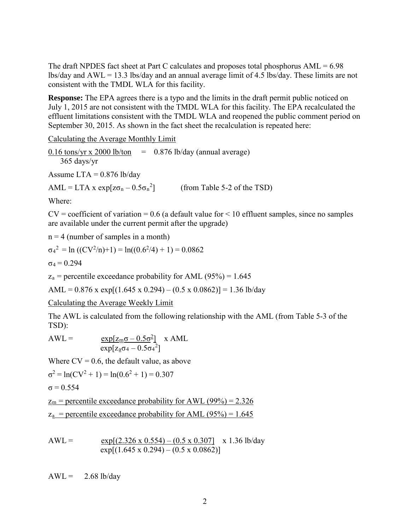The draft NPDES fact sheet at Part C calculates and proposes total phosphorus AML = 6.98 lbs/day and AWL = 13.3 lbs/day and an annual average limit of 4.5 lbs/day. These limits are not consistent with the TMDL WLA for this facility.

**Response:** The EPA agrees there is a typo and the limits in the draft permit public noticed on July 1, 2015 are not consistent with the TMDL WLA for this facility. The EPA recalculated the effluent limitations consistent with the TMDL WLA and reopened the public comment period on September 30, 2015. As shown in the fact sheet the recalculation is repeated here:

Calculating the Average Monthly Limit

0.16 tons/yr x 2000 lb/ton  $=$  0.876 lb/day (annual average) 365 days/yr Assume  $LTA = 0.876$  lb/day  $AML = LTA \times exp[z\sigma_n - 0.5\sigma_n^2]$ ] (from Table 5-2 of the TSD)

Where:

 $CV = coefficient of variation = 0.6$  (a default value for  $\leq 10$  effluent samples, since no samples are available under the current permit after the upgrade)

 $n = 4$  (number of samples in a month)

$$
\sigma_4^2 = \ln ((CV^2/n)+1) = \ln((0.6^2/4) + 1) = 0.0862
$$

 $\sigma_4 = 0.294$ 

 $z_a$  = percentile exceedance probability for AML (95%) = 1.645

AML =  $0.876$  x exp[ $(1.645 \times 0.294) - (0.5 \times 0.0862)$ ] = 1.36 lb/day

Calculating the Average Weekly Limit

The AWL is calculated from the following relationship with the AML (from Table 5-3 of the TSD):

$$
AWL = \frac{\exp[z_{m}\sigma - 0.5\sigma^{2}]}{\exp[z_{a}\sigma_{4} - 0.5\sigma_{4}^{2}]} \times AML
$$

Where  $CV = 0.6$ , the default value, as above

$$
\sigma^2 = \ln(CV^2 + 1) = \ln(0.6^2 + 1) = 0.307
$$

$$
\sigma = 0.554
$$

 $z_m$  = percentile exceedance probability for AWL (99%) = 2.326  $z_a$  = percentile exceedance probability for AML (95%) = 1.645

$$
AWL = \frac{\exp[(2.326 \times 0.554) - (0.5 \times 0.307]}{\exp[(1.645 \times 0.294) - (0.5 \times 0.0862)]} \times 1.36 \text{ lb/day}
$$

 $AWL = 2.68$  lb/day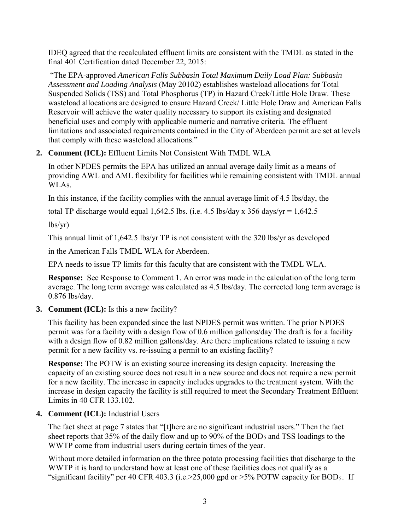IDEQ agreed that the recalculated effluent limits are consistent with the TMDL as stated in the final 401 Certification dated December 22, 2015:

 "The EPA-approved *American Falls Subbasin Total Maximum Daily Load Plan: Subbasin Assessment and Loading Analysis* (May 20102) establishes wasteload allocations for Total Suspended Solids (TSS) and Total Phosphorus (TP) in Hazard Creek/Little Hole Draw. These wasteload allocations are designed to ensure Hazard Creek/ Little Hole Draw and American Falls Reservoir will achieve the water quality necessary to support its existing and designated beneficial uses and comply with applicable numeric and narrative criteria. The effluent limitations and associated requirements contained in the City of Aberdeen permit are set at levels that comply with these wasteload allocations."

#### **2. Comment (ICL):** Effluent Limits Not Consistent With TMDL WLA

In other NPDES permits the EPA has utilized an annual average daily limit as a means of providing AWL and AML flexibility for facilities while remaining consistent with TMDL annual WLAs.

In this instance, if the facility complies with the annual average limit of 4.5 lbs/day, the

total TP discharge would equal 1,642.5 lbs. (i.e. 4.5 lbs/day x 356 days/yr =  $1,642.5$ )

 $\frac{1}{s}$ 

This annual limit of 1,642.5 lbs/yr TP is not consistent with the 320 lbs/yr as developed

in the American Falls TMDL WLA for Aberdeen.

EPA needs to issue TP limits for this faculty that are consistent with the TMDL WLA.

**Response:** See Response to Comment 1. An error was made in the calculation of the long term average. The long term average was calculated as 4.5 lbs/day. The corrected long term average is 0.876 lbs/day.

#### **3. Comment (ICL):** Is this a new facility?

This facility has been expanded since the last NPDES permit was written. The prior NPDES permit was for a facility with a design flow of 0.6 million gallons/day The draft is for a facility with a design flow of 0.82 million gallons/day. Are there implications related to issuing a new permit for a new facility vs. re-issuing a permit to an existing facility?

**Response:** The POTW is an existing source increasing its design capacity. Increasing the capacity of an existing source does not result in a new source and does not require a new permit for a new facility. The increase in capacity includes upgrades to the treatment system. With the increase in design capacity the facility is still required to meet the Secondary Treatment Effluent Limits in 40 CFR 133.102.

#### **4. Comment (ICL):** Industrial Users

The fact sheet at page 7 states that "[t]here are no significant industrial users." Then the fact sheet reports that  $35\%$  of the daily flow and up to 90% of the BOD<sub>5</sub> and TSS loadings to the WWTP come from industrial users during certain times of the year.

Without more detailed information on the three potato processing facilities that discharge to the WWTP it is hard to understand how at least one of these facilities does not qualify as a "significant facility" per 40 CFR 403.3 (i.e.  $>25,000$  gpd or  $>5\%$  POTW capacity for BOD<sub>5</sub>. If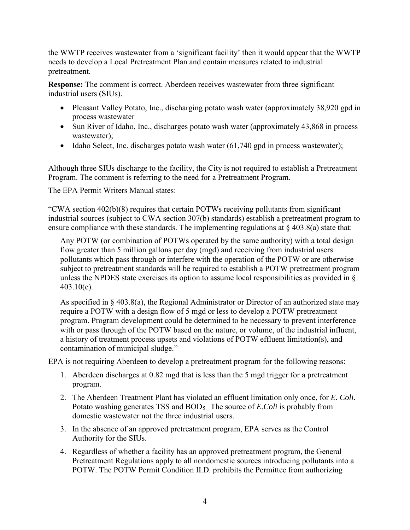the WWTP receives wastewater from a 'significant facility' then it would appear that the WWTP needs to develop a Local Pretreatment Plan and contain measures related to industrial pretreatment.

**Response:** The comment is correct. Aberdeen receives wastewater from three significant industrial users (SIUs).

- Pleasant Valley Potato, Inc., discharging potato wash water (approximately 38,920 gpd in process wastewater
- Sun River of Idaho, Inc., discharges potato wash water (approximately 43,868 in process wastewater);
- Idaho Select, Inc. discharges potato wash water (61,740 gpd in process wastewater);

Although three SIUs discharge to the facility, the City is not required to establish a Pretreatment Program. The comment is referring to the need for a Pretreatment Program.

The EPA Permit Writers Manual states:

"CWA section 402(b)(8) requires that certain POTWs receiving pollutants from significant industrial sources (subject to CWA section 307(b) standards) establish a pretreatment program to ensure compliance with these standards. The implementing regulations at  $\S$  403.8(a) state that:

Any POTW (or combination of POTWs operated by the same authority) with a total design flow greater than 5 million gallons per day (mgd) and receiving from industrial users pollutants which pass through or interfere with the operation of the POTW or are otherwise subject to pretreatment standards will be required to establish a POTW pretreatment program unless the NPDES state exercises its option to assume local responsibilities as provided in §  $403.10(e)$ .

As specified in § 403.8(a), the Regional Administrator or Director of an authorized state may require a POTW with a design flow of 5 mgd or less to develop a POTW pretreatment program. Program development could be determined to be necessary to prevent interference with or pass through of the POTW based on the nature, or volume, of the industrial influent, a history of treatment process upsets and violations of POTW effluent limitation(s), and contamination of municipal sludge."

EPA is not requiring Aberdeen to develop a pretreatment program for the following reasons:

- 1. Aberdeen discharges at 0.82 mgd that is less than the 5 mgd trigger for a pretreatment program.
- 2. The Aberdeen Treatment Plant has violated an effluent limitation only once, for *E. Coli*. Potato washing generates TSS and BOD5. The source of *E.Coli* is probably from domestic wastewater not the three industrial users.
- 3. In the absence of an approved pretreatment program, EPA serves as the Control Authority for the SIUs.
- 4. Regardless of whether a facility has an approved pretreatment program, the General Pretreatment Regulations apply to all nondomestic sources introducing pollutants into a POTW. The POTW Permit Condition II.D. prohibits the Permittee from authorizing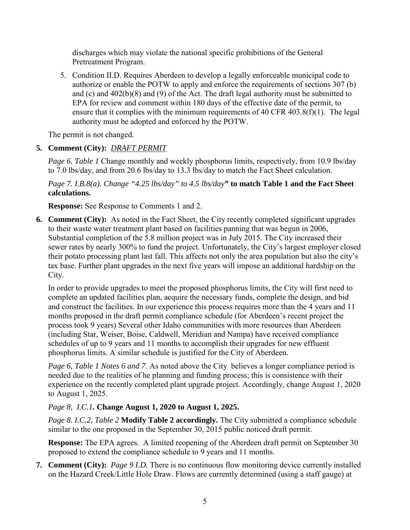discharges which may violate the national specific prohibitions of the General Pretreatment Program.

5. Condition II.D. Requires Aberdeen to develop a legally enforceable municipal code to authorize or enable the POTW to apply and enforce the requirements of sections 307 (b) and (c) and 402(b)(8) and (9) of the Act. The draft legal authority must be submitted to EPA for review and comment within 180 days of the effective date of the permit, to ensure that it complies with the minimum requirements of 40 CFR 403.8(f)(1). The legal authority must be adopted and enforced by the POTW.

The permit is not changed.

# **5. Comment (City):** *DRAFT PERMIT*

*Page 6. Table 1* Change monthly and weekly phosphorus limits, respectively, from 10.9 lbs/day to 7.0 lbs/day, and from 20.6 lbs/day to 13.3 lbs/day to match the Fact Sheet calculation.

*Page 7. I.B.8(a). Change "4.25 lbs/day" to 4.5 lbs/day"* **to match Table 1 and the Fact Sheet calculations.** 

**Response:** See Response to Comments 1 and 2.

**6. Comment (City):** As noted in the Fact Sheet, the City recently completed significant upgrades to their waste water treatment plant based on facilities panning that was begun in 2006, Substantial completion of the 5.8 million project was in July 2015. The City increased their sewer rates by nearly 300% to fund the project. Unfortunately, the City's largest employer closed their potato processing plant last fall. This affects not only the area population but also the city's tax base. Further plant upgrades in the next five years will impose an additional hardship on the City.

In order to provide upgrades to meet the proposed phosphorus limits, the City will first need to complete an updated facilities plan, acquire the necessary funds, complete the design, and bid and construct the facilities. In our experience this process requires more than the 4 years and 11 months proposed in the draft permit compliance schedule (for Aberdeen's recent project the process took 9 years) Several other Idaho communities with more resources than Aberdeen (including Star, Weiser, Boise, Caldwell, Meridian and Nampa) have received compliance schedules of up to 9 years and 11 months to accomplish their upgrades for new effluent phosphorus limits. A similar schedule is justified for the City of Aberdeen.

*Page 6, Table 1 Notes 6 and 7.* As noted above the City believes a longer compliance period is needed due to the realities of he planning and funding process; this is consistence with their experience on the recently completed plant upgrade project. Accordingly, change August 1, 2020 to August 1, 2025.

### *Page 8, I.C.1.* **Change August 1, 2020 to August 1, 2025.**

*Page 8. I.C.2, Table 2* **Modify Table 2 accordingly.** The City submitted a compliance schedule similar to the one proposed in the September 30, 2015 public noticed draft permit.

**Response:** The EPA agrees. A limited reopening of the Aberdeen draft permit on September 30 proposed to extend the compliance schedule to 9 years and 11 months.

**7. Comment (City):** *Page 9 I.D.* There is no continuous flow monitoring device currently installed on the Hazard Creek/Little Hole Draw. Flows are currently determined (using a staff gauge) at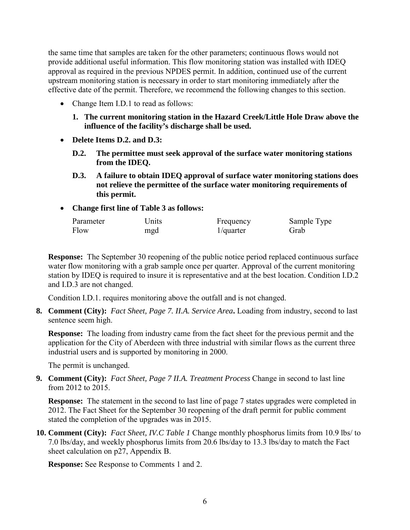the same time that samples are taken for the other parameters; continuous flows would not provide additional useful information. This flow monitoring station was installed with IDEQ approval as required in the previous NPDES permit. In addition, continued use of the current upstream monitoring station is necessary in order to start monitoring immediately after the effective date of the permit. Therefore, we recommend the following changes to this section.

- Change Item I.D.1 to read as follows:
	- **1. The current monitoring station in the Hazard Creek/Little Hole Draw above the influence of the facility's discharge shall be used.**
- **Delete Items D.2. and D.3:**
	- **D.2. The permittee must seek approval of the surface water monitoring stations from the IDEQ.**
	- **D.3. A failure to obtain IDEQ approval of surface water monitoring stations does not relieve the permittee of the surface water monitoring requirements of this permit.**
- **Change first line of Table 3 as follows:**

| Parameter | Units | Frequency    | Sample Type |
|-----------|-------|--------------|-------------|
| Flow      | mgd   | $1$ /quarter | Grab        |

**Response:** The September 30 reopening of the public notice period replaced continuous surface water flow monitoring with a grab sample once per quarter. Approval of the current monitoring station by IDEQ is required to insure it is representative and at the best location. Condition I.D.2 and I.D.3 are not changed.

Condition I.D.1. requires monitoring above the outfall and is not changed.

**8. Comment (City):** *Fact Sheet, Page 7. II.A. Service Area***.** Loading from industry, second to last sentence seem high.

**Response:** The loading from industry came from the fact sheet for the previous permit and the application for the City of Aberdeen with three industrial with similar flows as the current three industrial users and is supported by monitoring in 2000.

The permit is unchanged.

**9. Comment (City):** *Fact Sheet, Page 7 II.A. Treatment Process* Change in second to last line from 2012 to 2015.

**Response:** The statement in the second to last line of page 7 states upgrades were completed in 2012. The Fact Sheet for the September 30 reopening of the draft permit for public comment stated the completion of the upgrades was in 2015.

**10. Comment (City):** *Fact Sheet, IV.C Table 1* Change monthly phosphorus limits from 10.9 lbs/ to 7.0 lbs/day, and weekly phosphorus limits from 20.6 lbs/day to 13.3 lbs/day to match the Fact sheet calculation on p27, Appendix B.

**Response:** See Response to Comments 1 and 2.